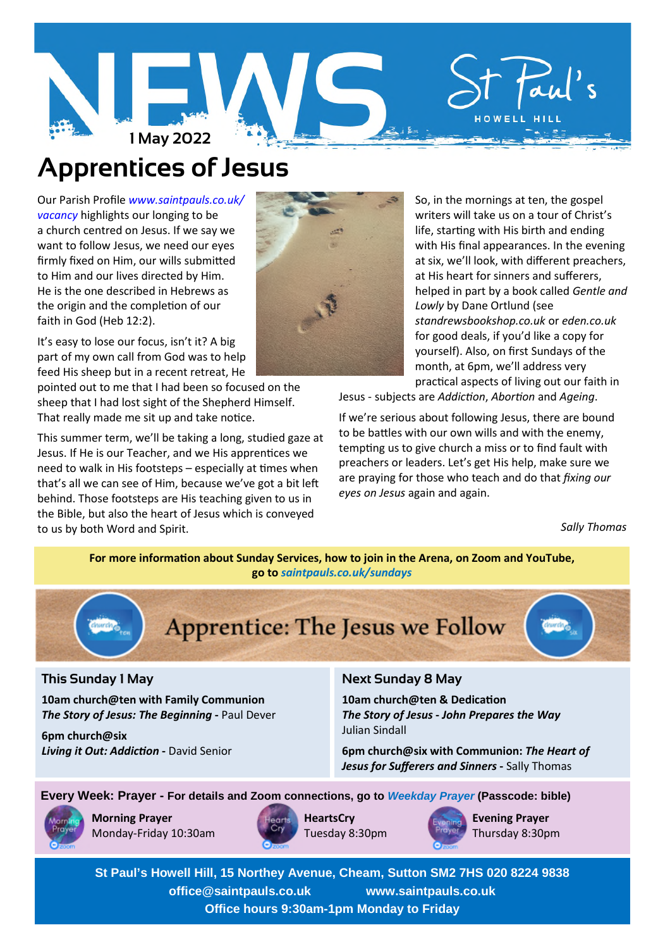

# **Apprentices of Jesus**

Our Parish Profile *www.saintpauls.co.uk/ vacancy* highlights our longing to be a church centred on Jesus. If we say we want to follow Jesus, we need our eyes firmly fixed on Him, our wills submitted to Him and our lives directed by Him. He is the one described in Hebrews as the origin and the completion of our faith in God (Heb 12:2).

It's easy to lose our focus, isn't it? A big part of my own call from God was to help feed His sheep but in a recent retreat, He

pointed out to me that I had been so focused on the sheep that I had lost sight of the Shepherd Himself. That really made me sit up and take notice.

This summer term, we'll be taking a long, studied gaze at Jesus. If He is our Teacher, and we His apprentices we need to walk in His footsteps  $-$  especially at times when that's all we can see of Him, because we've got a bit le behind. Those footsteps are His teaching given to us in the Bible, but also the heart of Jesus which is conveyed to us by both Word and Spirit.



So, in the mornings at ten, the gospel writers will take us on a tour of Christ's life, starting with His birth and ending with His final appearances. In the evening at six, we'll look, with different preachers, at His heart for sinners and sufferers, helped in part by a book called *Gentle and Lowly* by Dane Ortlund (see *standrewsbookshop.co.uk* or *eden.co.uk* for good deals, if you'd like a copy for yourself). Also, on first Sundays of the month, at 6pm, we'll address very practical aspects of living out our faith in

Jesus - subjects are *Addiction*, *Abortion* and *Ageing*.

If we're serious about following Jesus, there are bound to be battles with our own wills and with the enemy, tempting us to give church a miss or to find fault with preachers or leaders. Let's get His help, make sure we are praying for those who teach and do that *fixing our eyes on Jesus* again and again.

*Sally Thomas*

**For more information about Sunday Services, how to join in the Arena, on Zoom and YouTube, go to** *saintpauls.co.uk/sundays*



# **This Sunday 1 May**

**10am church@ten with Family Communion** *The Story of Jesus: The Beginning* **-** Paul Dever

**6pm church@six Living it Out: Addiction - David Senior** 

# **Next Sunday 8 May**

**10am** church@ten & Dedication *The Story of Jesus* **-** *John Prepares the Way* Julian Sindall

**6pm church@six with Communion:** *The Heart of Jesus for Sufferers and Sinners* **-** Sally Thomas

**Every Week: Prayer - For details and Zoom connections, go to** *Weekday Prayer* **(Passcode: bible)**



**Morning Prayer** Monday-Friday 10:30am



**HeartsCry** Tuesday 8:30pm



**Evening Prayer** Thursday 8:30pm

**St Paul's Howell Hill, 15 Northey Avenue, Cheam, Sutton SM2 7HS 020 8224 9838 office@saintpauls.co.uk www.saintpauls.co.uk Office hours 9:30am-1pm Monday to Friday**